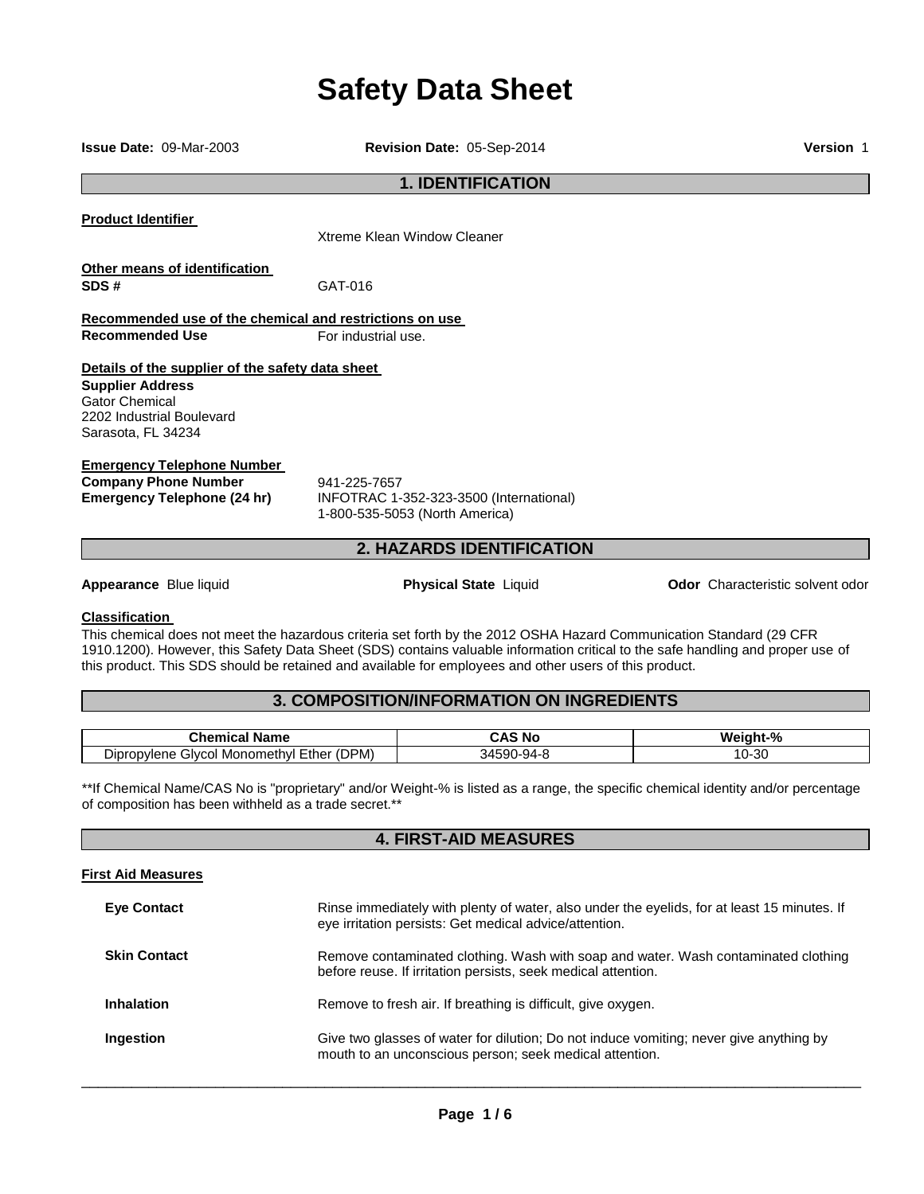# **Safety Data Sheet**

| <b>Issue Date: 09-Mar-2003</b>                                                                      | Version 1                                                                                                                           |                                         |
|-----------------------------------------------------------------------------------------------------|-------------------------------------------------------------------------------------------------------------------------------------|-----------------------------------------|
|                                                                                                     | <b>1. IDENTIFICATION</b>                                                                                                            |                                         |
| <b>Product Identifier</b>                                                                           | Xtreme Klean Window Cleaner                                                                                                         |                                         |
| Other means of identification<br>SDS#                                                               | GAT-016                                                                                                                             |                                         |
| Recommended use of the chemical and restrictions on use                                             |                                                                                                                                     |                                         |
| <b>Recommended Use</b>                                                                              | For industrial use.                                                                                                                 |                                         |
| Details of the supplier of the safety data sheet                                                    |                                                                                                                                     |                                         |
| <b>Supplier Address</b><br><b>Gator Chemical</b><br>2202 Industrial Boulevard<br>Sarasota, FL 34234 |                                                                                                                                     |                                         |
| <b>Emergency Telephone Number</b>                                                                   |                                                                                                                                     |                                         |
| <b>Company Phone Number</b><br><b>Emergency Telephone (24 hr)</b>                                   | 941-225-7657<br>INFOTRAC 1-352-323-3500 (International)<br>1-800-535-5053 (North America)                                           |                                         |
|                                                                                                     | 2. HAZARDS IDENTIFICATION                                                                                                           |                                         |
| Appearance Blue liquid                                                                              | <b>Physical State Liquid</b>                                                                                                        | <b>Odor</b> Characteristic solvent odor |
| <b>Classification</b>                                                                               | $\mathbf{a}$ and $\mathbf{a}$ are $\mathbf{a}$ and $\mathbf{a}$ are $\mathbf{a}$ and $\mathbf{a}$ and $\mathbf{a}$ are $\mathbf{a}$ |                                         |

This chemical does not meet the hazardous criteria set forth by the 2012 OSHA Hazard Communication Standard (29 CFR 1910.1200). However, this Safety Data Sheet (SDS) contains valuable information critical to the safe handling and proper use of this product. This SDS should be retained and available for employees and other users of this product.

# **3. COMPOSITION/INFORMATION ON INGREDIENTS**

| Name<br>⊶nemin                                                          | - -<br>. .<br>- N' | $\mathbf{a}$<br>W٤           |
|-------------------------------------------------------------------------|--------------------|------------------------------|
| - -<br>(DPM)<br>Givcol Monomethyl '<br><b>Dipror</b><br>pvlene<br>∠ther | 590<br>-94-><br>34 | -30<br>$\overline{ }$<br>١U· |

\*\*If Chemical Name/CAS No is "proprietary" and/or Weight-% is listed as a range, the specific chemical identity and/or percentage of composition has been withheld as a trade secret.\*\*

# **4. FIRST-AID MEASURES**

## **First Aid Measures**

| <b>Eye Contact</b>  | Rinse immediately with plenty of water, also under the eyelids, for at least 15 minutes. If<br>eye irritation persists: Get medical advice/attention. |
|---------------------|-------------------------------------------------------------------------------------------------------------------------------------------------------|
| <b>Skin Contact</b> | Remove contaminated clothing. Wash with soap and water. Wash contaminated clothing<br>before reuse. If irritation persists, seek medical attention.   |
| <b>Inhalation</b>   | Remove to fresh air. If breathing is difficult, give oxygen.                                                                                          |
| Ingestion           | Give two glasses of water for dilution; Do not induce vomiting; never give anything by<br>mouth to an unconscious person; seek medical attention.     |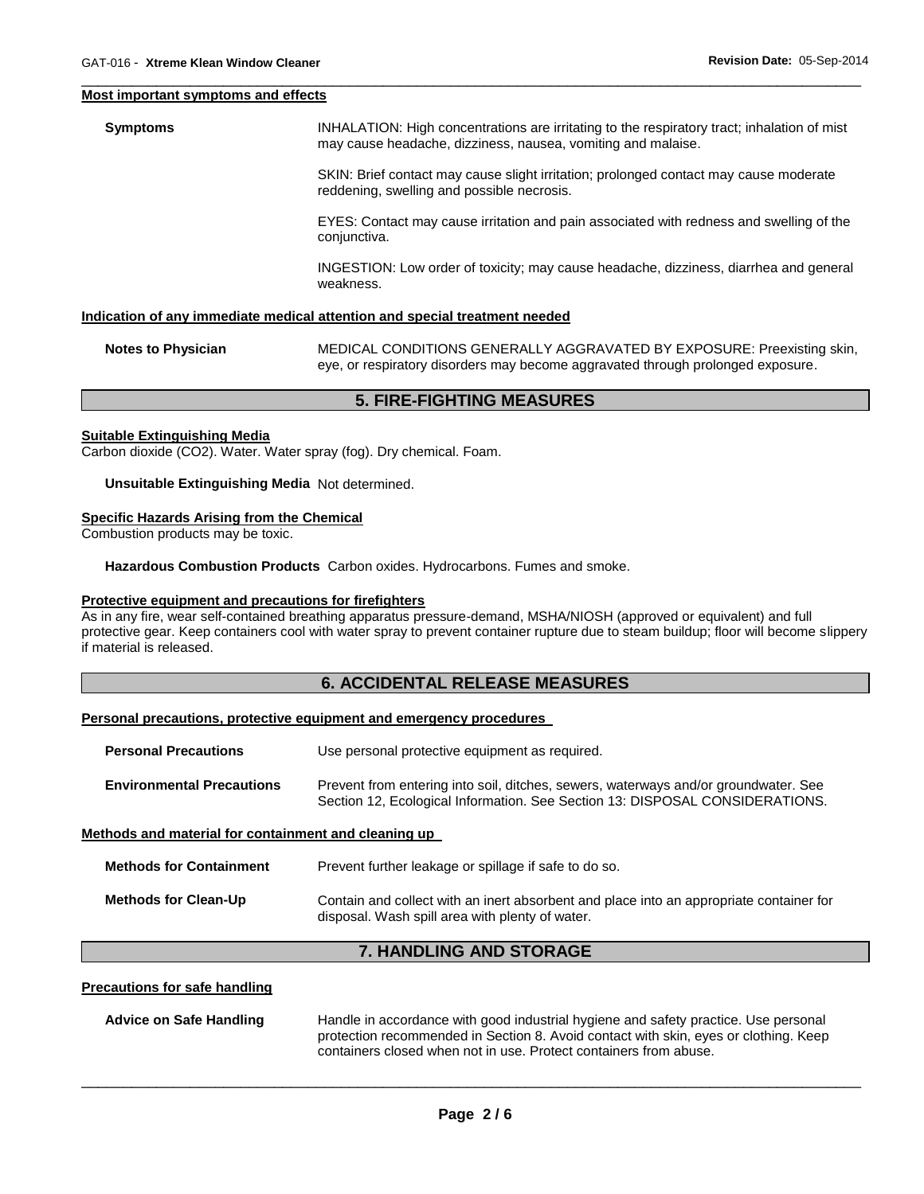#### **Most important symptoms and effects**

**Symptoms INHALATION: High concentrations are irritating to the respiratory tract; inhalation of mist** may cause headache, dizziness, nausea, vomiting and malaise. SKIN: Brief contact may cause slight irritation; prolonged contact may cause moderate reddening, swelling and possible necrosis. EYES: Contact may cause irritation and pain associated with redness and swelling of the conjunctiva.

\_\_\_\_\_\_\_\_\_\_\_\_\_\_\_\_\_\_\_\_\_\_\_\_\_\_\_\_\_\_\_\_\_\_\_\_\_\_\_\_\_\_\_\_\_\_\_\_\_\_\_\_\_\_\_\_\_\_\_\_\_\_\_\_\_\_\_\_\_\_\_\_\_\_\_\_\_\_\_\_\_\_\_\_\_\_\_\_\_\_\_\_\_

INGESTION: Low order of toxicity; may cause headache, dizziness, diarrhea and general weakness.

#### **Indication of any immediate medical attention and special treatment needed**

**Notes to Physician** MEDICAL CONDITIONS GENERALLY AGGRAVATED BY EXPOSURE: Preexisting skin, eye, or respiratory disorders may become aggravated through prolonged exposure.

#### **5. FIRE-FIGHTING MEASURES**

#### **Suitable Extinguishing Media**

Carbon dioxide (CO2). Water. Water spray (fog). Dry chemical. Foam.

## **Unsuitable Extinguishing Media** Not determined.

#### **Specific Hazards Arising from the Chemical**

Combustion products may be toxic.

**Hazardous Combustion Products** Carbon oxides. Hydrocarbons. Fumes and smoke.

#### **Protective equipment and precautions for firefighters**

As in any fire, wear self-contained breathing apparatus pressure-demand, MSHA/NIOSH (approved or equivalent) and full protective gear. Keep containers cool with water spray to prevent container rupture due to steam buildup; floor will become slippery if material is released.

## **6. ACCIDENTAL RELEASE MEASURES**

#### **Personal precautions, protective equipment and emergency procedures**

| <b>Personal Precautions</b>                          | Use personal protective equipment as required.                                                                                                                      |  |
|------------------------------------------------------|---------------------------------------------------------------------------------------------------------------------------------------------------------------------|--|
| <b>Environmental Precautions</b>                     | Prevent from entering into soil, ditches, sewers, waterways and/or groundwater. See<br>Section 12, Ecological Information. See Section 13: DISPOSAL CONSIDERATIONS. |  |
| Methods and material for containment and cleaning up |                                                                                                                                                                     |  |

| Methods for Containment | Prevent further leakage or spillage if safe to do so.                                                                                      |
|-------------------------|--------------------------------------------------------------------------------------------------------------------------------------------|
| Methods for Clean-Up    | Contain and collect with an inert absorbent and place into an appropriate container for<br>disposal. Wash spill area with plenty of water. |

## **7. HANDLING AND STORAGE**

#### **Precautions for safe handling**

| Advice on Safe Handling | Handle in accordance with good industrial hygiene and safety practice. Use personal  |
|-------------------------|--------------------------------------------------------------------------------------|
|                         | protection recommended in Section 8. Avoid contact with skin, eyes or clothing. Keep |
|                         | containers closed when not in use. Protect containers from abuse.                    |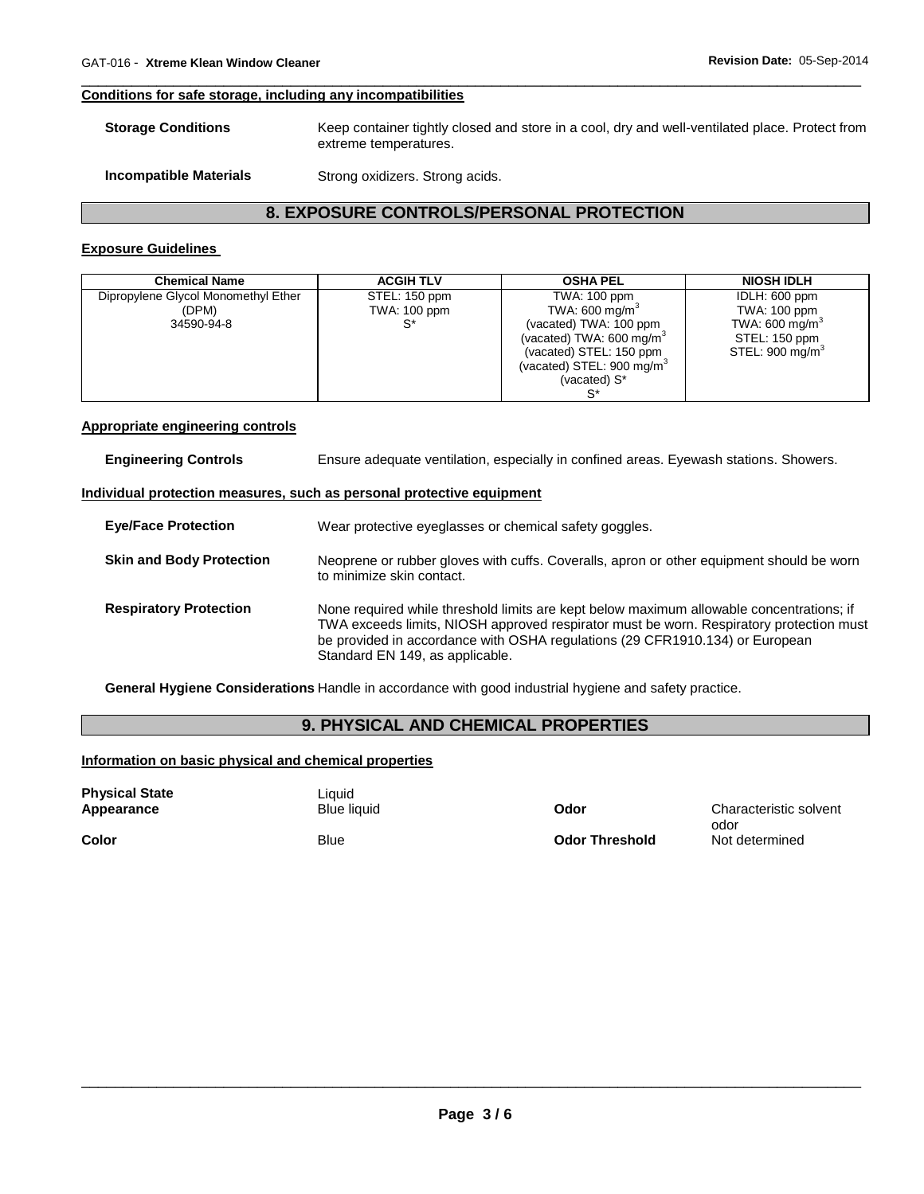## **Conditions for safe storage, including any incompatibilities**

| <b>Storage Conditions</b>     | Keep container tightly closed and store in a cool, dry and well-ventilated place. Protect from<br>extreme temperatures. |
|-------------------------------|-------------------------------------------------------------------------------------------------------------------------|
| <b>Incompatible Materials</b> | Strong oxidizers. Strong acids.                                                                                         |

\_\_\_\_\_\_\_\_\_\_\_\_\_\_\_\_\_\_\_\_\_\_\_\_\_\_\_\_\_\_\_\_\_\_\_\_\_\_\_\_\_\_\_\_\_\_\_\_\_\_\_\_\_\_\_\_\_\_\_\_\_\_\_\_\_\_\_\_\_\_\_\_\_\_\_\_\_\_\_\_\_\_\_\_\_\_\_\_\_\_\_\_\_

## **8. EXPOSURE CONTROLS/PERSONAL PROTECTION**

## **Exposure Guidelines**

| <b>Chemical Name</b>                | <b>ACGIH TLV</b> | <b>OSHA PEL</b>                       | <b>NIOSH IDLH</b>            |
|-------------------------------------|------------------|---------------------------------------|------------------------------|
| Dipropylene Glycol Monomethyl Ether | STEL: 150 ppm    | TWA: 100 ppm                          | IDLH: 600 ppm                |
| (DPM)                               | TWA: 100 ppm     | TWA: 600 mg/m <sup>3</sup>            | TWA: 100 ppm                 |
| 34590-94-8                          | с*               | (vacated) TWA: 100 ppm                | TWA: 600 mg/m <sup>3</sup>   |
|                                     |                  | (vacated) TWA: $600 \text{ mg/m}^3$   | STEL: 150 ppm                |
|                                     |                  | (vacated) STEL: 150 ppm               | STEL: 900 mg/m $\mathrm{^3}$ |
|                                     |                  | (vacated) STEL: 900 mg/m <sup>3</sup> |                              |
|                                     |                  | (vacated) S*                          |                              |
|                                     |                  | `S                                    |                              |

## **Appropriate engineering controls**

| <b>Engineering Controls</b>     | Ensure adequate ventilation, especially in confined areas. Eyewash stations. Showers.                                                                                                                                                                                                                  |
|---------------------------------|--------------------------------------------------------------------------------------------------------------------------------------------------------------------------------------------------------------------------------------------------------------------------------------------------------|
|                                 | Individual protection measures, such as personal protective equipment                                                                                                                                                                                                                                  |
| <b>Eye/Face Protection</b>      | Wear protective eyeglasses or chemical safety goggles.                                                                                                                                                                                                                                                 |
| <b>Skin and Body Protection</b> | Neoprene or rubber gloves with cuffs. Coveralls, apron or other equipment should be worn<br>to minimize skin contact.                                                                                                                                                                                  |
| <b>Respiratory Protection</b>   | None required while threshold limits are kept below maximum allowable concentrations; if<br>TWA exceeds limits, NIOSH approved respirator must be worn. Respiratory protection must<br>be provided in accordance with OSHA regulations (29 CFR1910.134) or European<br>Standard EN 149, as applicable. |

**General Hygiene Considerations** Handle in accordance with good industrial hygiene and safety practice.

# **9. PHYSICAL AND CHEMICAL PROPERTIES**

## **Information on basic physical and chemical properties**

| <b>Physical State</b><br>Appearance | ∟iquid<br><b>Blue liquid</b> | Odor                  | Characteristic solvent |
|-------------------------------------|------------------------------|-----------------------|------------------------|
| <b>Color</b>                        | <b>Blue</b>                  | <b>Odor Threshold</b> | odor<br>Not determined |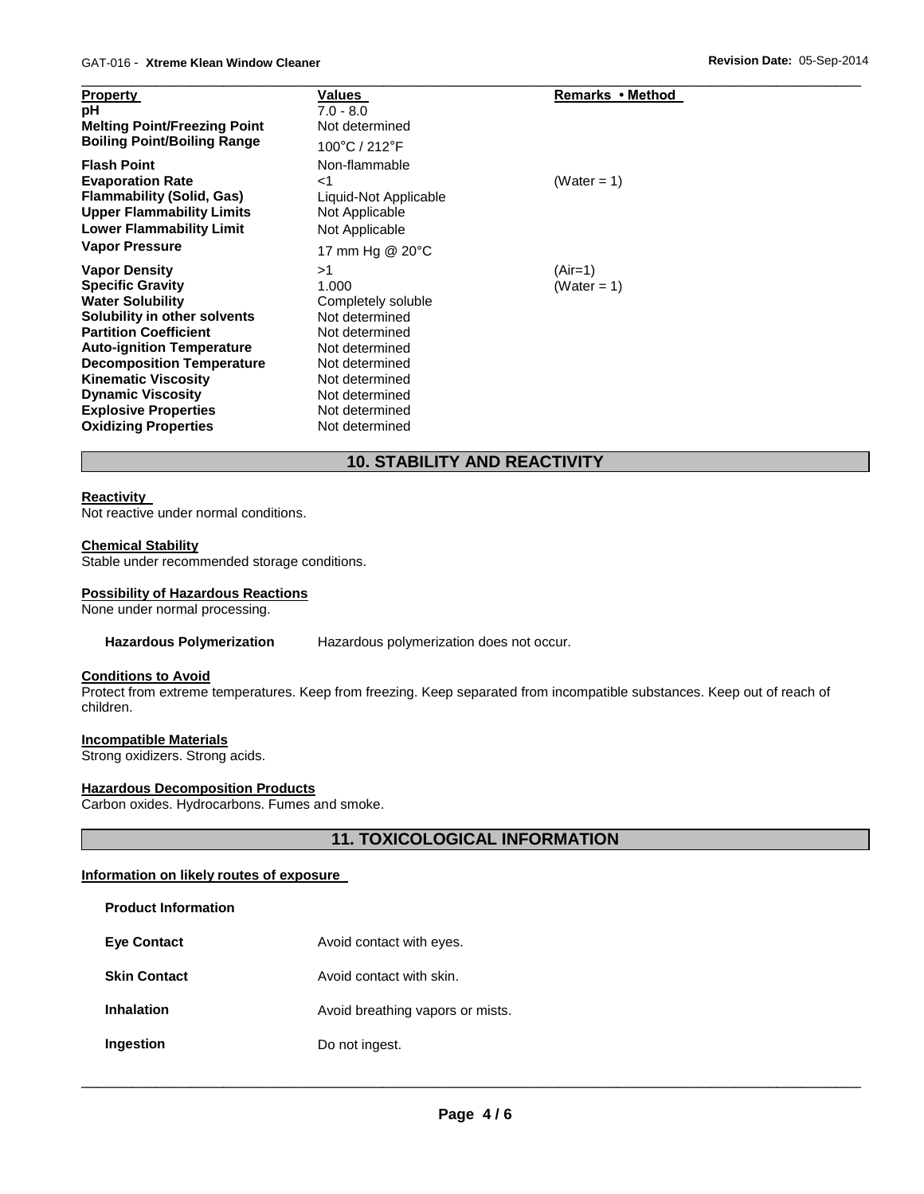| <b>Property</b>                     | Values                | Remarks • Method |  |
|-------------------------------------|-----------------------|------------------|--|
| рH                                  | $7.0 - 8.0$           |                  |  |
| <b>Melting Point/Freezing Point</b> | Not determined        |                  |  |
| <b>Boiling Point/Boiling Range</b>  | 100°C / 212°F         |                  |  |
| <b>Flash Point</b>                  | Non-flammable         |                  |  |
| <b>Evaporation Rate</b>             | ${<}1$                | (Water = 1)      |  |
| <b>Flammability (Solid, Gas)</b>    | Liquid-Not Applicable |                  |  |
| <b>Upper Flammability Limits</b>    | Not Applicable        |                  |  |
| <b>Lower Flammability Limit</b>     | Not Applicable        |                  |  |
| <b>Vapor Pressure</b>               | 17 mm Hg @ 20°C       |                  |  |
| <b>Vapor Density</b>                | >1                    | $(Air=1)$        |  |
| <b>Specific Gravity</b>             | 1.000                 | (Water = 1)      |  |
| <b>Water Solubility</b>             | Completely soluble    |                  |  |
| Solubility in other solvents        | Not determined        |                  |  |
| <b>Partition Coefficient</b>        | Not determined        |                  |  |
| <b>Auto-ignition Temperature</b>    | Not determined        |                  |  |
| <b>Decomposition Temperature</b>    | Not determined        |                  |  |
| <b>Kinematic Viscosity</b>          | Not determined        |                  |  |
| <b>Dynamic Viscosity</b>            | Not determined        |                  |  |
| <b>Explosive Properties</b>         | Not determined        |                  |  |
| <b>Oxidizing Properties</b>         | Not determined        |                  |  |

# **10. STABILITY AND REACTIVITY**

## **Reactivity**

Not reactive under normal conditions.

## **Chemical Stability**

Stable under recommended storage conditions.

#### **Possibility of Hazardous Reactions**

None under normal processing.

**Hazardous Polymerization** Hazardous polymerization does not occur.

## **Conditions to Avoid**

Protect from extreme temperatures. Keep from freezing. Keep separated from incompatible substances. Keep out of reach of children.

## **Incompatible Materials**

Strong oxidizers. Strong acids.

## **Hazardous Decomposition Products**

Carbon oxides. Hydrocarbons. Fumes and smoke.

**11. TOXICOLOGICAL INFORMATION** 

## **Information on likely routes of exposure**

| <b>Product Information</b> |                                  |
|----------------------------|----------------------------------|
| <b>Eve Contact</b>         | Avoid contact with eyes.         |
| <b>Skin Contact</b>        | Avoid contact with skin.         |
| <b>Inhalation</b>          | Avoid breathing vapors or mists. |
| Ingestion                  | Do not ingest.                   |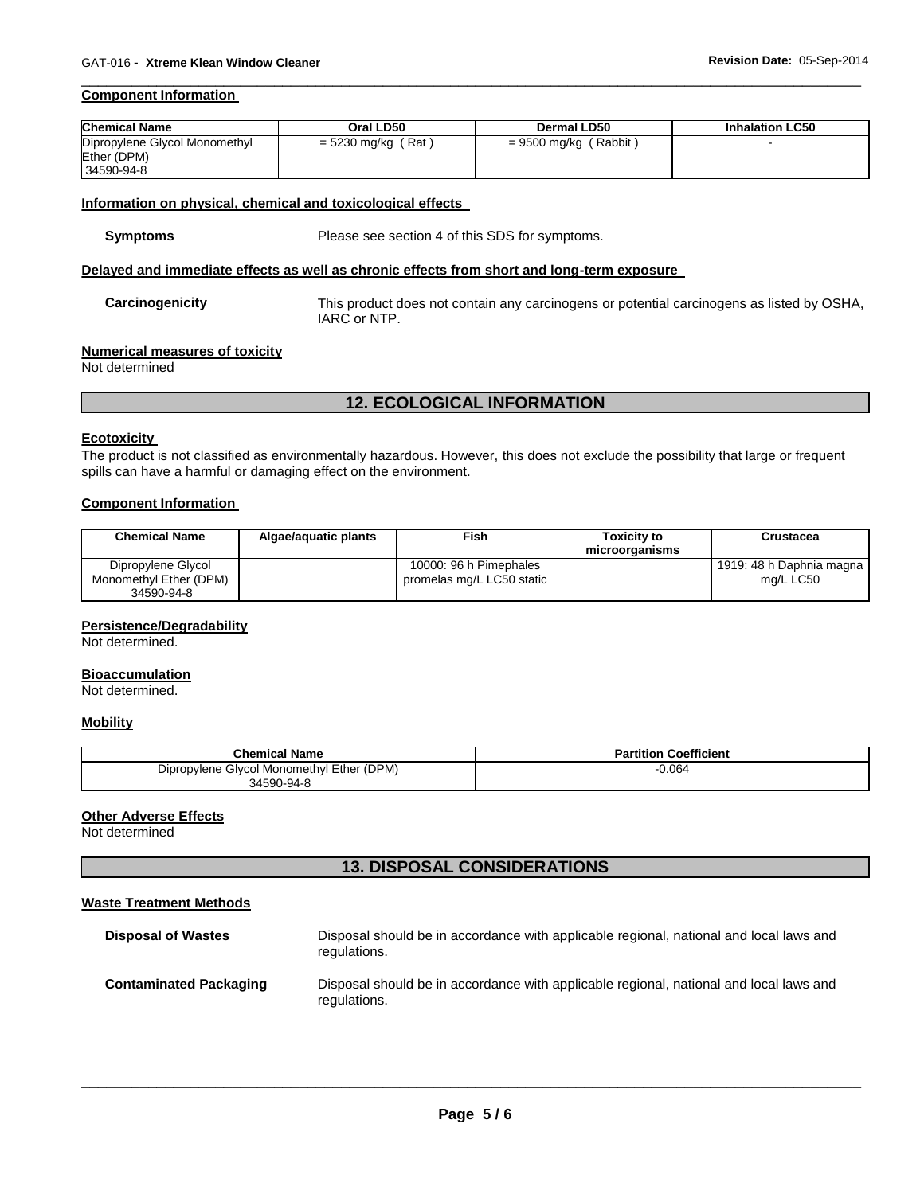## **Component Information**

| <b>Chemical Name</b>          | Oral LD50          | Dermal LD50             | <b>Inhalation LC50</b> |
|-------------------------------|--------------------|-------------------------|------------------------|
| Dipropylene Glycol Monomethyl | = 5230 mg/kg (Rat) | $= 9500$ mg/kg (Rabbit) |                        |
| Ether (DPM)                   |                    |                         |                        |
| 34590-94-8                    |                    |                         |                        |

\_\_\_\_\_\_\_\_\_\_\_\_\_\_\_\_\_\_\_\_\_\_\_\_\_\_\_\_\_\_\_\_\_\_\_\_\_\_\_\_\_\_\_\_\_\_\_\_\_\_\_\_\_\_\_\_\_\_\_\_\_\_\_\_\_\_\_\_\_\_\_\_\_\_\_\_\_\_\_\_\_\_\_\_\_\_\_\_\_\_\_\_\_

#### **Information on physical, chemical and toxicological effects**

**Symptoms** Please see section 4 of this SDS for symptoms.

#### **Delayed and immediate effects as well as chronic effects from short and long-term exposure**

**Carcinogenicity** This product does not contain any carcinogens or potential carcinogens as listed by OSHA, IARC or NTP.

#### **Numerical measures of toxicity**

Not determined

# **12. ECOLOGICAL INFORMATION**

#### **Ecotoxicity**

The product is not classified as environmentally hazardous. However, this does not exclude the possibility that large or frequent spills can have a harmful or damaging effect on the environment.

#### **Component Information**

| <b>Chemical Name</b>   | Algae/aguatic plants | Fish                      | Toxicitv to<br>microorganisms | Crustacea                |
|------------------------|----------------------|---------------------------|-------------------------------|--------------------------|
| Dipropylene Glycol     |                      | 10000: 96 h Pimephales    |                               | 1919: 48 h Daphnia magna |
| Monomethyl Ether (DPM) |                      | promelas mg/L LC50 static |                               | ma/L LC50                |
| 34590-94-8             |                      |                           |                               |                          |

#### **Persistence/Degradability**

Not determined.

## **Bioaccumulation**

Not determined.

## **Mobility**

| <b>Chemical Name</b>                      | <b>Partition Coefficient</b> |
|-------------------------------------------|------------------------------|
| Dipropylene Glycol Monomethyl Ether (DPM) | $-0.064$                     |
| 34590-94-8                                |                              |

#### **Other Adverse Effects**

Not determined

# **13. DISPOSAL CONSIDERATIONS**

## **Waste Treatment Methods**

| <b>Disposal of Wastes</b>     | Disposal should be in accordance with applicable regional, national and local laws and<br>regulations. |
|-------------------------------|--------------------------------------------------------------------------------------------------------|
| <b>Contaminated Packaging</b> | Disposal should be in accordance with applicable regional, national and local laws and<br>regulations. |